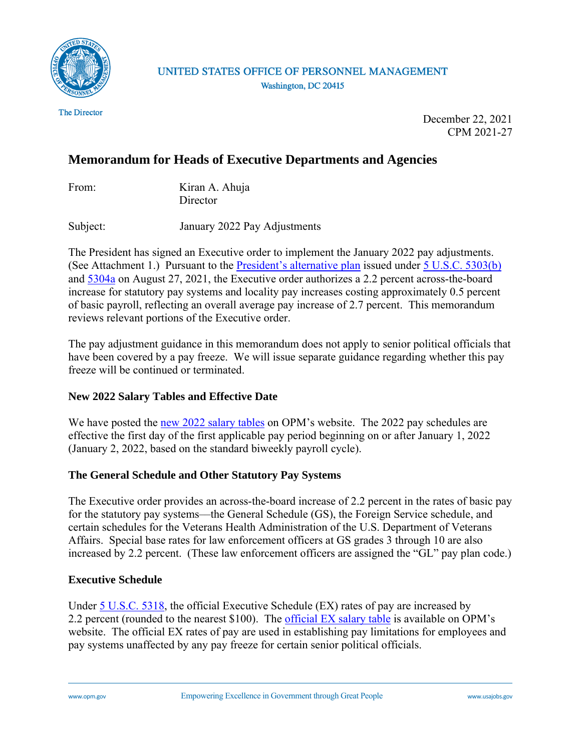

UNITED STATES OFFICE OF PERSONNEL MANAGEMENT Washington, DC 20415

**The Director** 

December 22, 2021 CPM 2021-27

# **Memorandum for Heads of Executive Departments and Agencies**

| From: | Kiran A. Ahuja |
|-------|----------------|
|       | Director       |

Subject: January 2022 Pay Adjustments

The President has signed an Executive order to implement the January 2022 pay adjustments. (See Attachment 1.) Pursuant to the *President's alternative plan* issued under [5 U.S.C. 5303\(b\)](https://uscode.house.gov/view.xhtml?req=(title:5%20section:5303%20edition:prelim)%20OR%20(granuleid:USC-prelim-title5-section5303)&f=treesort&edition=prelim&num=0&jumpTo=true) and [5304a](https://uscode.house.gov/view.xhtml?hl=false&edition=prelim&req=granuleid%3AUSC-prelim-title5-section5304a&f=treesort&num=0&saved=%7CKHRpdGxlOjUgc2VjdGlvbjo1MzAzIGVkaXRpb246cHJlbGltKSBPUiAoZ3JhbnVsZWlkOlVTQy1wcmVsaW0tdGl0bGU1LXNlY3Rpb241MzAzKQ%3D%3D%7CdHJlZXNvcnQ%3D%7C%7C0%7Cfalse%7Cprelim) on August 27, 2021, the Executive order authorizes a 2.2 percent across-the-board increase for statutory pay systems and locality pay increases costing approximately 0.5 percent of basic payroll, reflecting an overall average pay increase of 2.7 percent. This memorandum reviews relevant portions of the Executive order.

The pay adjustment guidance in this memorandum does not apply to senior political officials that have been covered by a pay freeze. We will issue separate guidance regarding whether this pay freeze will be continued or terminated.

# **New 2022 Salary Tables and Effective Date**

We have posted the [new 2022 salary tables](https://www.opm.gov/policy-data-oversight/pay-leave/salaries-wages/) on OPM's website. The 2022 pay schedules are effective the first day of the first applicable pay period beginning on or after January 1, 2022 (January 2, 2022, based on the standard biweekly payroll cycle).

# **The General Schedule and Other Statutory Pay Systems**

The Executive order provides an across-the-board increase of 2.2 percent in the rates of basic pay for the statutory pay systems––the General Schedule (GS), the Foreign Service schedule, and certain schedules for the Veterans Health Administration of the U.S. Department of Veterans Affairs. Special base rates for law enforcement officers at GS grades 3 through 10 are also increased by 2.2 percent. (These law enforcement officers are assigned the "GL" pay plan code.)

# **Executive Schedule**

Under [5 U.S.C. 5318,](https://uscode.house.gov/view.xhtml?req=(title:5%20section:5318%20edition:prelim)%20OR%20(granuleid:USC-prelim-title5-section5318)&f=treesort&edition=prelim&num=0&jumpTo=true) the official Executive Schedule (EX) rates of pay are increased by 2.2 percent (rounded to the nearest \$100). The [official EX salary table](https://www.opm.gov/policy-data-oversight/pay-leave/salaries-wages/2022/executive-senior-level/) is available on OPM's website. The official EX rates of pay are used in establishing pay limitations for employees and pay systems unaffected by any pay freeze for certain senior political officials.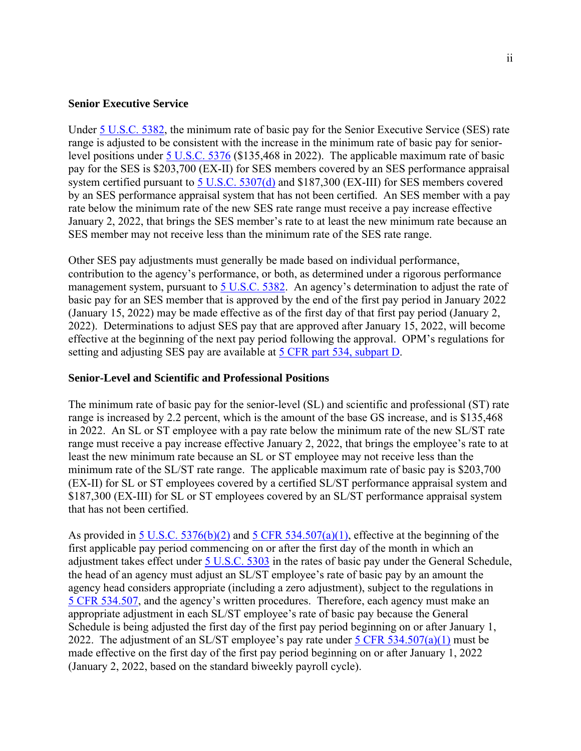## **Senior Executive Service**

Under [5 U.S.C. 5382,](https://uscode.house.gov/view.xhtml?req=(title:5%20section:5382%20edition:prelim)%20OR%20(granuleid:USC-prelim-title5-section5382)&f=treesort&edition=prelim&num=0&jumpTo=true) the minimum rate of basic pay for the Senior Executive Service (SES) rate range is adjusted to be consistent with the increase in the minimum rate of basic pay for seniorlevel positions under [5 U.S.C. 5376](https://uscode.house.gov/view.xhtml?req=(title:5%20section:5376%20edition:prelim)%20OR%20(granuleid:USC-prelim-title5-section5376)&f=treesort&edition=prelim&num=0&jumpTo=true) (\$135,468 in 2022). The applicable maximum rate of basic pay for the SES is \$203,700 (EX-II) for SES members covered by an SES performance appraisal system certified pursuant to [5 U.S.C. 5307\(d\)](https://uscode.house.gov/view.xhtml?req=(title:5%20section:5307%20edition:prelim)%20OR%20(granuleid:USC-prelim-title5-section5307)&f=treesort&edition=prelim&num=0&jumpTo=true) and \$187,300 (EX-III) for SES members covered by an SES performance appraisal system that has not been certified. An SES member with a pay rate below the minimum rate of the new SES rate range must receive a pay increase effective January 2, 2022, that brings the SES member's rate to at least the new minimum rate because an SES member may not receive less than the minimum rate of the SES rate range.

Other SES pay adjustments must generally be made based on individual performance, contribution to the agency's performance, or both, as determined under a rigorous performance management system, pursuant to [5 U.S.C. 5382.](https://uscode.house.gov/view.xhtml?req=(title:5%20section:5382%20edition:prelim)%20OR%20(granuleid:USC-prelim-title5-section5382)&f=treesort&edition=prelim&num=0&jumpTo=true) An agency's determination to adjust the rate of basic pay for an SES member that is approved by the end of the first pay period in January 2022 (January 15, 2022) may be made effective as of the first day of that first pay period (January 2, 2022). Determinations to adjust SES pay that are approved after January 15, 2022, will become effective at the beginning of the next pay period following the approval. OPM's regulations for setting and adjusting SES pay are available at [5 CFR part 534, subpart D.](https://www.ecfr.gov/current/title-5/chapter-I/subchapter-B/part-534/subpart-D)

## **Senior-Level and Scientific and Professional Positions**

The minimum rate of basic pay for the senior-level (SL) and scientific and professional (ST) rate range is increased by 2.2 percent, which is the amount of the base GS increase, and is \$135,468 in 2022. An SL or ST employee with a pay rate below the minimum rate of the new SL/ST rate range must receive a pay increase effective January 2, 2022, that brings the employee's rate to at least the new minimum rate because an SL or ST employee may not receive less than the minimum rate of the SL/ST rate range. The applicable maximum rate of basic pay is \$203,700 (EX-II) for SL or ST employees covered by a certified SL/ST performance appraisal system and \$187,300 (EX-III) for SL or ST employees covered by an SL/ST performance appraisal system that has not been certified.

As provided in  $5 \text{ U.S.C. } 5376(b)(2)$  and  $5 \text{ CFR } 534.507(a)(1)$ , effective at the beginning of the first applicable pay period commencing on or after the first day of the month in which an adjustment takes effect under [5 U.S.C. 5303](https://uscode.house.gov/view.xhtml?req=(title:5%20section:5303%20edition:prelim)%20OR%20(granuleid:USC-prelim-title5-section5303)&f=treesort&edition=prelim&num=0&jumpTo=true) in the rates of basic pay under the General Schedule, the head of an agency must adjust an SL/ST employee's rate of basic pay by an amount the agency head considers appropriate (including a zero adjustment), subject to the regulations in [5 CFR 534.507,](https://www.ecfr.gov/cgi-bin/text-idx?SID=eca9301138a9a51d5338c7b4a07e5cd0&mc=true&node=pt5.1.534&rgn=div5#se5.1.534_1507) and the agency's written procedures. Therefore, each agency must make an appropriate adjustment in each SL/ST employee's rate of basic pay because the General Schedule is being adjusted the first day of the first pay period beginning on or after January 1, 2022. The adjustment of an SL/ST employee's pay rate under  $5 \text{ CFR } 534.507(a)(1)$  must be made effective on the first day of the first pay period beginning on or after January 1, 2022 (January 2, 2022, based on the standard biweekly payroll cycle).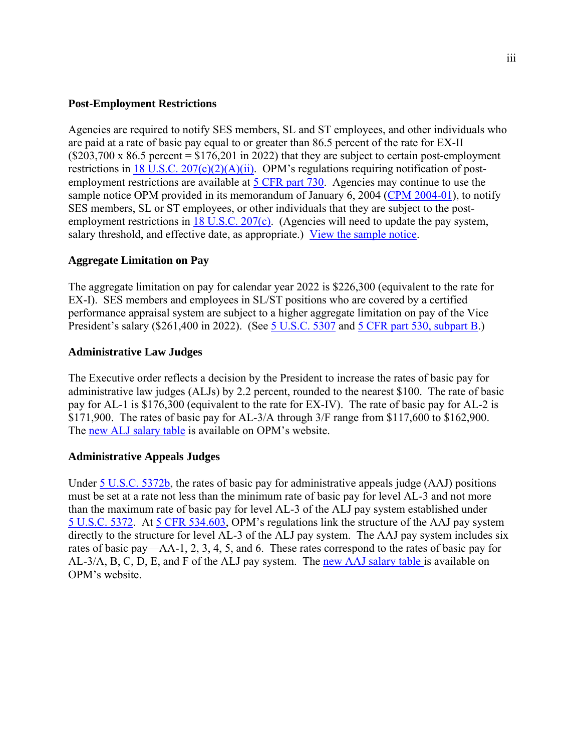# **Post-Employment Restrictions**

Agencies are required to notify SES members, SL and ST employees, and other individuals who are paid at a rate of basic pay equal to or greater than 86.5 percent of the rate for EX-II  $($203,700 \times 86.5 \text{ percent} = $176,201 \text{ in } 2022)$  that they are subject to certain post-employment restrictions in 18 U.S.C.  $207(c)(2)(A)(ii)$ . OPM's regulations requiring notification of post-employment restrictions are available at [5 CFR part 730.](https://www.ecfr.gov/cgi-bin/text-idx?SID=c072ebe96a7839ea3635129af8e01d7c&mc=true&node=pt5.2.730&rgn=div5) Agencies may continue to use the sample notice OPM provided in its memorandum of January 6, 2004 [\(CPM 2004-01\)](https://www.chcoc.gov/content/notification-changes-post-employment-restrictions-coverage-members-senior-executive-service), to notify SES members, SL or ST employees, or other individuals that they are subject to the post-employment restrictions in [18 U.S.C. 207\(c\).](https://uscode.house.gov/view.xhtml?req=(title:18%20section:207%20edition:prelim)%20OR%20(granuleid:USC-prelim-title18-section207)&f=treesort&edition=prelim&num=0&jumpTo=true) (Agencies will need to update the pay system, salary threshold, and effective date, as appropriate.) [View the sample notice.](http://archive.opm.gov/oca/compmemo/2004/2004-01_attach1.asp)

# **Aggregate Limitation on Pay**

The aggregate limitation on pay for calendar year 2022 is \$226,300 (equivalent to the rate for EX-I). SES members and employees in SL/ST positions who are covered by a certified performance appraisal system are subject to a higher aggregate limitation on pay of the Vice President's salary (\$261,400 in 2022). (See [5 U.S.C. 5307](https://uscode.house.gov/view.xhtml?req=(title:5%20section:5307%20edition:prelim)%20OR%20(granuleid:USC-prelim-title5-section5307)&f=treesort&edition=prelim&num=0&jumpTo=true) and [5 CFR part 530, subpart B.](https://www.ecfr.gov/current/title-5/chapter-I/subchapter-B/part-530/subpart-B))

## **Administrative Law Judges**

The Executive order reflects a decision by the President to increase the rates of basic pay for administrative law judges (ALJs) by 2.2 percent, rounded to the nearest \$100. The rate of basic pay for AL-1 is \$176,300 (equivalent to the rate for EX-IV). The rate of basic pay for AL-2 is \$171,900. The rates of basic pay for AL-3/A through 3/F range from \$117,600 to \$162,900. The [new ALJ salary table](https://www.opm.gov/policy-data-oversight/pay-leave/salaries-wages/2022/executive-senior-level/) is available on OPM's website.

## **Administrative Appeals Judges**

Under [5 U.S.C. 5372b,](https://uscode.house.gov/view.xhtml?req=(title:5%20section:5372b%20edition:prelim)%20OR%20(granuleid:USC-prelim-title5-section5372b)&f=treesort&edition=prelim&num=0&jumpTo=true) the rates of basic pay for administrative appeals judge (AAJ) positions must be set at a rate not less than the minimum rate of basic pay for level AL-3 and not more than the maximum rate of basic pay for level AL-3 of the ALJ pay system established under 5 [U.S.C. 5372.](https://uscode.house.gov/view.xhtml?req=(title:5%20section:5372%20edition:prelim)%20OR%20(granuleid:USC-prelim-title5-section5372)&f=treesort&edition=prelim&num=0&jumpTo=true) At [5 CFR 534.603,](https://www.ecfr.gov/cgi-bin/text-idx?SID=210f22d784dee9611160d354d91cd0d8&mc=true&node=pt5.1.534&rgn=div5%22%20/l%20%22se5.1.534_1603#se5.1.534_1603) OPM's regulations link the structure of the AAJ pay system directly to the structure for level AL-3 of the ALJ pay system. The AAJ pay system includes six rates of basic pay—AA-1, 2, 3, 4, 5, and 6. These rates correspond to the rates of basic pay for AL-3/A, B, C, D, E, and F of the ALJ pay system. The [new AAJ salary table i](https://www.opm.gov/policy-data-oversight/pay-leave/salaries-wages/2022/executive-senior-level/)s available on OPM's website.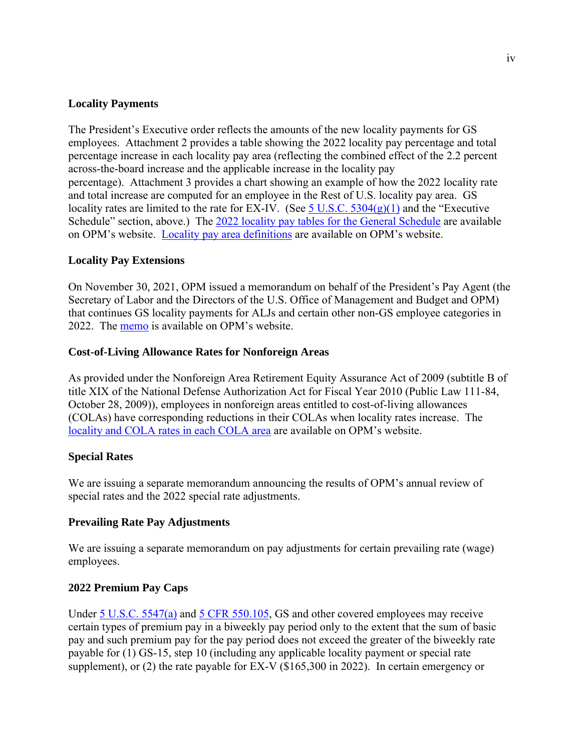# **Locality Payments**

The President's Executive order reflects the amounts of the new locality payments for GS employees. Attachment 2 provides a table showing the 2022 locality pay percentage and total percentage increase in each locality pay area (reflecting the combined effect of the 2.2 percent across-the-board increase and the applicable increase in the locality pay percentage). Attachment 3 provides a chart showing an example of how the 2022 locality rate and total increase are computed for an employee in the Rest of U.S. locality pay area. GS locality rates are limited to the rate for EX-IV. (See  $5$  U.S.C.  $5304(g)(1)$  and the "Executive" Schedule" section, above.) The [2022 locality pay tables for the General Schedule](https://www.opm.gov/policy-data-oversight/pay-leave/salaries-wages/2022/general-schedule/) are available on OPM's website. [Locality pay area definitions](https://www.opm.gov/policy-data-oversight/pay-leave/salaries-wages/2022/locality-pay-area-definitions/) are available on OPM's website.

# **Locality Pay Extensions**

On November 30, 2021, OPM issued a memorandum on behalf of the President's Pay Agent (the Secretary of Labor and the Directors of the U.S. Office of Management and Budget and OPM) that continues GS locality payments for ALJs and certain other non-GS employee categories in 2022. The [memo](https://www.opm.gov/policy-data-oversight/pay-leave/salaries-wages/2021/extension-of-locality-pay-memo-for-non-gs-employees-2022.pdf) is available on OPM's website.

# **Cost-of-Living Allowance Rates for Nonforeign Areas**

As provided under the Nonforeign Area Retirement Equity Assurance Act of 2009 (subtitle B of title XIX of the National Defense Authorization Act for Fiscal Year 2010 (Public Law 111-84, October 28, 2009)), employees in nonforeign areas entitled to cost-of-living allowances (COLAs) have corresponding reductions in their COLAs when locality rates increase. The [locality and COLA rates in each COLA area](https://www.opm.gov/policy-data-oversight/pay-leave/pay-systems/nonforeign-areas/) are available on OPM's website.

# **Special Rates**

We are issuing a separate memorandum announcing the results of OPM's annual review of special rates and the 2022 special rate adjustments.

# **Prevailing Rate Pay Adjustments**

We are issuing a separate memorandum on pay adjustments for certain prevailing rate (wage) employees.

# **2022 Premium Pay Caps**

Under [5 U.S.C. 5547\(a\)](https://uscode.house.gov/view.xhtml?req=(title:5%20section:5547%20edition:prelim)%20OR%20(granuleid:USC-prelim-title5-section5547)&f=treesort&edition=prelim&num=0&jumpTo=true) and [5 CFR 550.105,](https://www.ecfr.gov/cgi-bin/text-idx?SID=210f22d784dee9611160d354d91cd0d8&mc=true&node=pt5.1.550&rgn=div5#se5.1.550_1105) GS and other covered employees may receive certain types of premium pay in a biweekly pay period only to the extent that the sum of basic pay and such premium pay for the pay period does not exceed the greater of the biweekly rate payable for (1) GS-15, step 10 (including any applicable locality payment or special rate supplement), or (2) the rate payable for EX-V (\$165,300 in 2022). In certain emergency or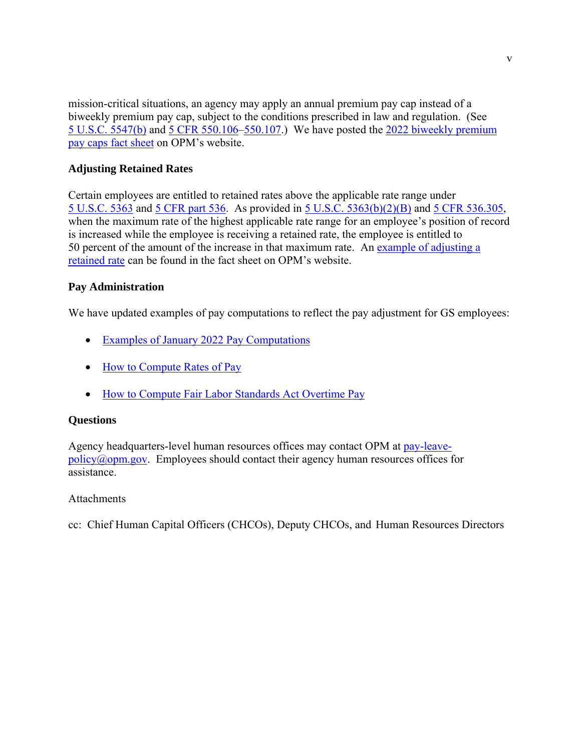mission-critical situations, an agency may apply an annual premium pay cap instead of a biweekly premium pay cap, subject to the conditions prescribed in law and regulation. (See 5 [U.S.C. 5547\(b\)](https://uscode.house.gov/view.xhtml?req=(title:5%20section:5547%20edition:prelim)%20OR%20(granuleid:USC-prelim-title5-section5547)&f=treesort&edition=prelim&num=0&jumpTo=true) and [5 CFR 550.106–](https://www.ecfr.gov/cgi-bin/text-idx?SID=210f22d784dee9611160d354d91cd0d8&mc=true&node=pt5.1.550&rgn=div5#se5.1.550_1106)[550.107.](https://www.ecfr.gov/cgi-bin/text-idx?SID=210f22d784dee9611160d354d91cd0d8&mc=true&node=pt5.1.550&rgn=div5#se5.1.550_1107)) We have posted the [2022 biweekly premium](https://www.opm.gov/policy-data-oversight/pay-leave/pay-administration/#url=Biweekly-Pay-Caps)  [pay caps fact sheet](https://www.opm.gov/policy-data-oversight/pay-leave/pay-administration/#url=Biweekly-Pay-Caps) on OPM's website.

# **Adjusting Retained Rates**

Certain employees are entitled to retained rates above the applicable rate range under [5 U.S.C. 5363](https://uscode.house.gov/view.xhtml?req=(title:5%20section:5363%20edition:prelim)%20OR%20(granuleid:USC-prelim-title5-section5363)&f=treesort&edition=prelim&num=0&jumpTo=true) and [5 CFR part 536.](https://www.ecfr.gov/cgi-bin/text-idx?SID=210f22d784dee9611160d354d91cd0d8&mc=true&node=pt5.1.536&rgn=div5) As provided in 5 [U.S.C. 5363\(b\)\(2\)\(B\)](https://uscode.house.gov/view.xhtml?req=(title:5%20section:5363%20edition:prelim)%20OR%20(granuleid:USC-prelim-title5-section5363)&f=treesort&edition=prelim&num=0&jumpTo=true) and [5 CFR 536.305,](https://www.ecfr.gov/cgi-bin/text-idx?SID=210f22d784dee9611160d354d91cd0d8&mc=true&node=pt5.1.536&rgn=div5#se5.1.536_1305) when the maximum rate of the highest applicable rate range for an employee's position of record is increased while the employee is receiving a retained rate, the employee is entitled to 50 percent of the amount of the increase in that maximum rate. An example of adjusting a [retained rate](https://www.opm.gov/policy-data-oversight/pay-leave/pay-administration/fact-sheets/January-2022-pay-examples) can be found in the fact sheet on OPM's website.

# **Pay Administration**

We have updated examples of pay computations to reflect the pay adjustment for GS employees:

- [Examples of January 2022](https://www.opm.gov/policy-data-oversight/pay-leave/pay-administration/fact-sheets/January-2022-pay-examples/) Pay Computations
- [How to Compute Rates of Pay](https://www.opm.gov/policy-data-oversight/pay-leave/pay-administration/fact-sheets/how-to-compute-rates-of-pay/)
- [How to Compute Fair Labor Standards Act Overtime Pay](https://www.opm.gov/policy-data-oversight/pay-leave/pay-administration/fact-sheets/how-to-compute-flsa-overtime-pay/)

# **Questions**

Agency headquarters-level human resources offices may contact OPM at [pay-leave](mailto:pay-leave-policy@opm.gov) $policy@opm.gov$ . Employees should contact their agency human resources offices for assistance.

# **Attachments**

cc: Chief Human Capital Officers (CHCOs), Deputy CHCOs, and Human Resources Directors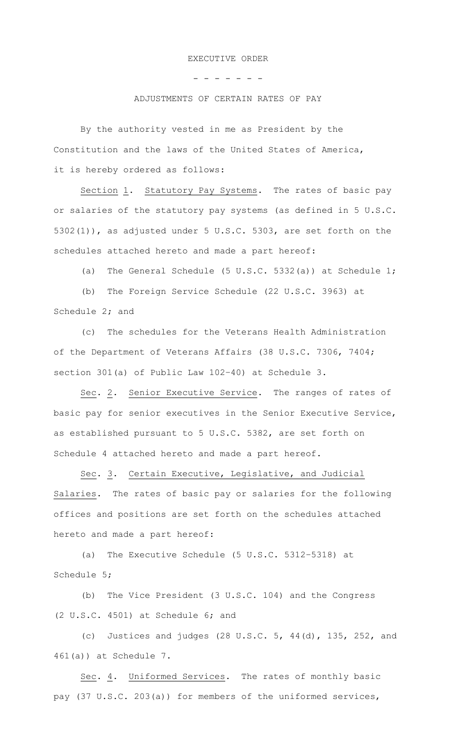#### EXECUTIVE ORDER

- - - - - - -

### ADJUSTMENTS OF CERTAIN RATES OF PAY

By the authority vested in me as President by the Constitution and the laws of the United States of America, it is hereby ordered as follows:

Section 1.Statutory Pay Systems. The rates of basic pay or salaries of the statutory pay systems (as defined in 5 U.S.C. 5302(1)), as adjusted under 5 U.S.C. 5303, are set forth on the schedules attached hereto and made a part hereof:

(a) The General Schedule (5 U.S.C. 5332(a)) at Schedule 1;

(b) The Foreign Service Schedule (22 U.S.C. 3963) at Schedule 2; and

(c) The schedules for the Veterans Health Administration of the Department of Veterans Affairs (38 U.S.C. 7306, 7404; section 301(a) of Public Law 102–40) at Schedule 3.

Sec. 2. Senior Executive Service. The ranges of rates of basic pay for senior executives in the Senior Executive Service, as established pursuant to 5 U.S.C. 5382, are set forth on Schedule 4 attached hereto and made a part hereof.

Sec. 3. Certain Executive, Legislative, and Judicial Salaries. The rates of basic pay or salaries for the following offices and positions are set forth on the schedules attached hereto and made a part hereof:

(a) The Executive Schedule (5 U.S.C. 5312–5318) at Schedule 5;

(b) The Vice President (3 U.S.C. 104) and the Congress (2 U.S.C. 4501) at Schedule 6; and

(c) Justices and judges (28 U.S.C. 5, 44(d), 135, 252, and 461(a)) at Schedule 7.

Sec. 4. Uniformed Services. The rates of monthly basic pay (37 U.S.C. 203(a)) for members of the uniformed services,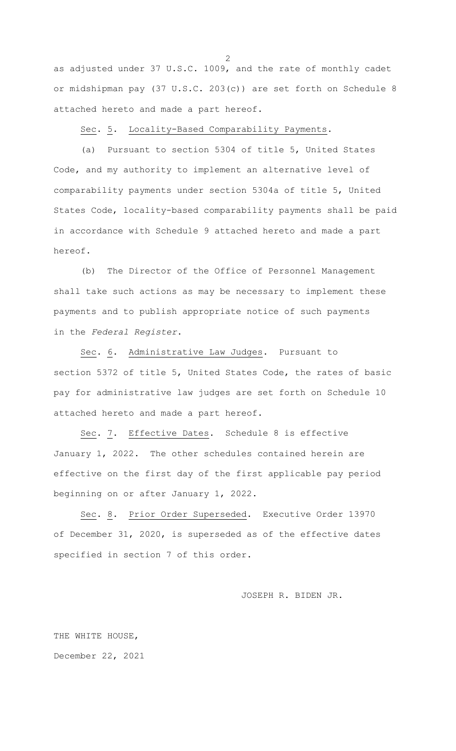as adjusted under 37 U.S.C. 1009, and the rate of monthly cadet or midshipman pay (37 U.S.C. 203(c)) are set forth on Schedule 8 attached hereto and made a part hereof.

Sec. 5. Locality-Based Comparability Payments.

(a) Pursuant to section 5304 of title 5, United States Code, and my authority to implement an alternative level of comparability payments under section 5304a of title 5, United States Code, locality-based comparability payments shall be paid in accordance with Schedule 9 attached hereto and made a part hereof.

(b) The Director of the Office of Personnel Management shall take such actions as may be necessary to implement these payments and to publish appropriate notice of such payments in the *Federal Register*.

Sec. 6. Administrative Law Judges. Pursuant to section 5372 of title 5, United States Code, the rates of basic pay for administrative law judges are set forth on Schedule 10 attached hereto and made a part hereof.

Sec. 7. Effective Dates. Schedule 8 is effective January 1, 2022. The other schedules contained herein are effective on the first day of the first applicable pay period beginning on or after January 1, 2022.

Sec. 8. Prior Order Superseded. Executive Order 13970 of December 31, 2020, is superseded as of the effective dates specified in section 7 of this order.

JOSEPH R. BIDEN JR.

THE WHITE HOUSE, December 22, 2021 2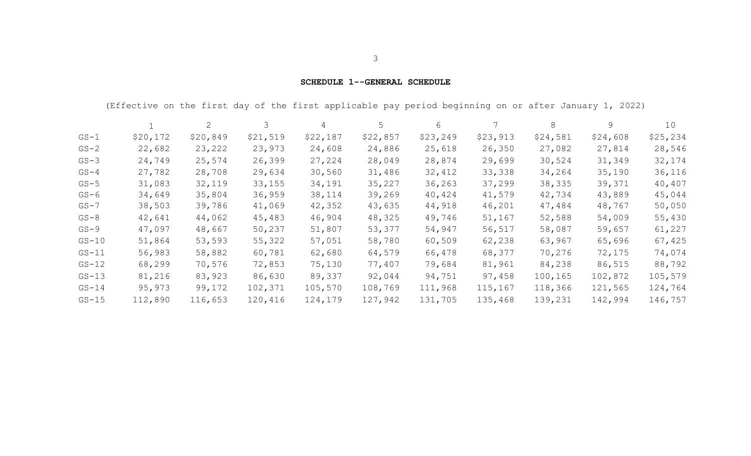## **SCHEDULE 1--GENERAL SCHEDULE**

(Effective on the first day of the first applicable pay period beginning on or after January 1, 2022)

|          |          | 2        | 3        | 4        | 5        | 6        |          | 8        | 9        | 10        |
|----------|----------|----------|----------|----------|----------|----------|----------|----------|----------|-----------|
| $GS-1$   | \$20,172 | \$20,849 | \$21,519 | \$22,187 | \$22,857 | \$23,249 | \$23,913 | \$24,581 | \$24,608 | \$25, 234 |
| $GS-2$   | 22,682   | 23,222   | 23,973   | 24,608   | 24,886   | 25,618   | 26,350   | 27,082   | 27,814   | 28,546    |
| $GS-3$   | 24,749   | 25,574   | 26,399   | 27,224   | 28,049   | 28,874   | 29,699   | 30,524   | 31,349   | 32,174    |
| $GS-4$   | 27,782   | 28,708   | 29,634   | 30,560   | 31,486   | 32,412   | 33,338   | 34,264   | 35,190   | 36,116    |
| $GS-5$   | 31,083   | 32,119   | 33,155   | 34,191   | 35,227   | 36, 263  | 37,299   | 38,335   | 39,371   | 40,407    |
| $GS-6$   | 34,649   | 35,804   | 36,959   | 38,114   | 39,269   | 40,424   | 41,579   | 42,734   | 43,889   | 45,044    |
| $GS - 7$ | 38,503   | 39,786   | 41,069   | 42,352   | 43,635   | 44,918   | 46,201   | 47,484   | 48,767   | 50,050    |
| $GS-8$   | 42,641   | 44,062   | 45,483   | 46,904   | 48,325   | 49,746   | 51,167   | 52,588   | 54,009   | 55,430    |
| $GS-9$   | 47,097   | 48,667   | 50,237   | 51,807   | 53,377   | 54,947   | 56,517   | 58,087   | 59,657   | 61,227    |
| $GS-10$  | 51,864   | 53,593   | 55,322   | 57,051   | 58,780   | 60,509   | 62,238   | 63,967   | 65,696   | 67,425    |
| $GS-11$  | 56,983   | 58,882   | 60,781   | 62,680   | 64,579   | 66,478   | 68,377   | 70,276   | 72,175   | 74,074    |
| $GS-12$  | 68,299   | 70,576   | 72,853   | 75,130   | 77,407   | 79,684   | 81,961   | 84,238   | 86,515   | 88,792    |
| $GS-13$  | 81,216   | 83,923   | 86,630   | 89,337   | 92,044   | 94,751   | 97,458   | 100,165  | 102,872  | 105,579   |
| $GS-14$  | 95,973   | 99,172   | 102,371  | 105,570  | 108,769  | 111,968  | 115,167  | 118,366  | 121,565  | 124,764   |
| $GS-15$  | 112,890  | 116,653  | 120,416  | 124,179  | 127,942  | 131,705  | 135,468  | 139,231  | 142,994  | 146,757   |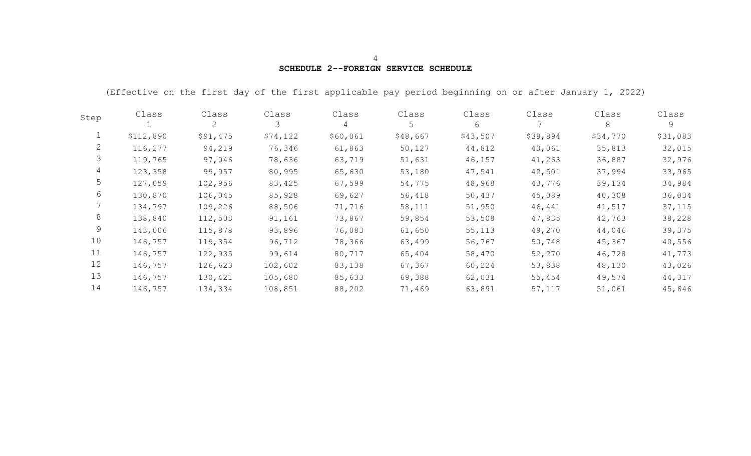# **SCHEDULE 2--FOREIGN SERVICE SCHEDULE**

(Effective on the first day of the first applicable pay period beginning on or after January 1, 2022)

| Step | Class     | Class<br>2 | Class<br>3 | Class<br>4 | Class<br>5 | Class<br>6 | Class    | Class<br>8 | Class<br>9 |
|------|-----------|------------|------------|------------|------------|------------|----------|------------|------------|
|      | \$112,890 | \$91,475   | \$74,122   | \$60,061   | \$48,667   | \$43,507   | \$38,894 | \$34,770   | \$31,083   |
| 2    | 116,277   | 94,219     | 76,346     | 61,863     | 50,127     | 44,812     | 40,061   | 35,813     | 32,015     |
| 3    | 119,765   | 97,046     | 78,636     | 63,719     | 51,631     | 46,157     | 41,263   | 36,887     | 32,976     |
| 4    | 123,358   | 99,957     | 80,995     | 65,630     | 53,180     | 47,541     | 42,501   | 37,994     | 33,965     |
| 5    | 127,059   | 102,956    | 83,425     | 67,599     | 54,775     | 48,968     | 43,776   | 39,134     | 34,984     |
| 6    | 130,870   | 106,045    | 85,928     | 69,627     | 56,418     | 50,437     | 45,089   | 40,308     | 36,034     |
|      | 134,797   | 109,226    | 88,506     | 71,716     | 58,111     | 51,950     | 46,441   | 41,517     | 37,115     |
| 8    | 138,840   | 112,503    | 91,161     | 73,867     | 59,854     | 53,508     | 47,835   | 42,763     | 38,228     |
| 9    | 143,006   | 115,878    | 93,896     | 76,083     | 61,650     | 55,113     | 49,270   | 44,046     | 39,375     |
| 10   | 146,757   | 119,354    | 96,712     | 78,366     | 63,499     | 56,767     | 50,748   | 45,367     | 40,556     |
| 11   | 146,757   | 122,935    | 99,614     | 80,717     | 65,404     | 58,470     | 52,270   | 46,728     | 41,773     |
| 12   | 146,757   | 126,623    | 102,602    | 83,138     | 67,367     | 60,224     | 53,838   | 48,130     | 43,026     |
| 13   | 146,757   | 130,421    | 105,680    | 85,633     | 69,388     | 62,031     | 55,454   | 49,574     | 44,317     |
| 14   | 146,757   | 134,334    | 108,851    | 88,202     | 71,469     | 63,891     | 57,117   | 51,061     | 45,646     |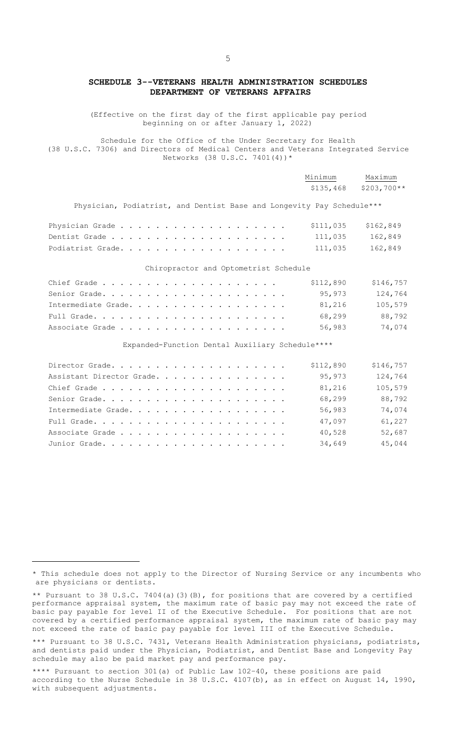## **SCHEDULE 3--VETERANS HEALTH ADMINISTRATION SCHEDULES DEPARTMENT OF VETERANS AFFAIRS**

(Effective on the first day of the first applicable pay period beginning on or after January 1, 2022)

Schedule for the Office of the Under Secretary for Health (38 U.S.C. 7306) and Directors of Medical Centers and Veterans Integrated Service Networks (38 U.S.C. 7401(4))\*

|                                                                       | Minimum<br>\$135,468 | Maximum<br>$$203,700**$ |
|-----------------------------------------------------------------------|----------------------|-------------------------|
| Physician, Podiatrist, and Dentist Base and Longevity Pay Schedule*** |                      |                         |
|                                                                       | \$111,035            | \$162,849               |
|                                                                       | 111,035              | 162,849                 |
| Podiatrist Grade.                                                     | 111,035              | 162,849                 |
| Chiropractor and Optometrist Schedule                                 |                      |                         |
|                                                                       | \$112,890            | \$146,757               |
|                                                                       | 95,973               | 124,764                 |
| Intermediate Grade.                                                   | 81,216               | 105,579                 |
|                                                                       | 68,299               | 88,792                  |
|                                                                       | 56,983               | 74,074                  |
| Expanded-Function Dental Auxiliary Schedule****                       |                      |                         |

Director Grade. . . . . . . . . . . . . . . . . . . . \$112,890 \$146,757 Assistant Director Grade. . . . . . . . . . . . . . . 95,973 124,764 Chief Grade . . . . . . . . . . . . . . . . . . . . . 81,216 105,579 Senior Grade. . . . . . . . . . . . . . . . . . . . . 68,299 88,792 Intermediate Grade. . . . . . . . . . . . . . . . . . 56,983 74,074 Full Grade. . . . . . . . . . . . . . . . . . . . . . 47,097 61,227 Associate Grade . . . . . . . . . . . . . . . . . . . 40,528 52,687 Junior Grade. . . . . . . . . . . . . . . . . . . . . 34,649 45,044

|  |                             |  |  |  |  |  | * This schedule does not apply to the Director of Nursing Service or any incumbents who |  |
|--|-----------------------------|--|--|--|--|--|-----------------------------------------------------------------------------------------|--|
|  | are physicians or dentists. |  |  |  |  |  |                                                                                         |  |

<sup>\*\*</sup> Pursuant to 38 U.S.C. 7404(a)(3)(B), for positions that are covered by a certified performance appraisal system, the maximum rate of basic pay may not exceed the rate of basic pay payable for level II of the Executive Schedule. For positions that are not covered by a certified performance appraisal system, the maximum rate of basic pay may not exceed the rate of basic pay payable for level III of the Executive Schedule.

\*\*\* Pursuant to 38 U.S.C. 7431, Veterans Health Administration physicians, podiatrists, and dentists paid under the Physician, Podiatrist, and Dentist Base and Longevity Pay schedule may also be paid market pay and performance pay.

\*\*\*\* Pursuant to section 301(a) of Public Law 102–40, these positions are paid according to the Nurse Schedule in 38 U.S.C. 4107(b), as in effect on August 14, 1990, with subsequent adjustments.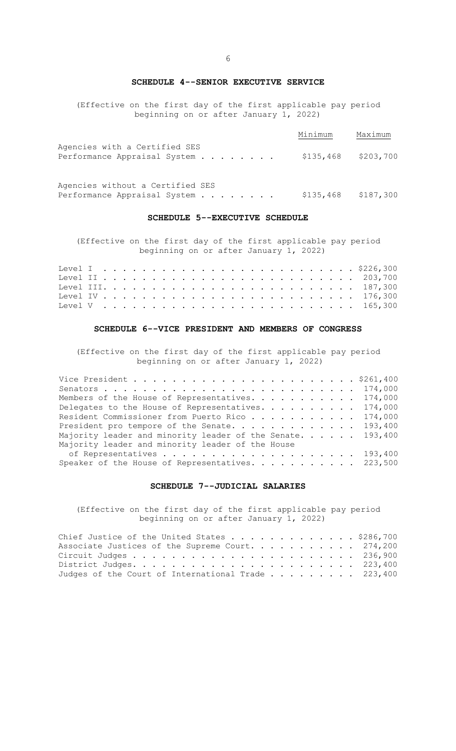**SCHEDULE 4--SENIOR EXECUTIVE SERVICE** 

<span id="page-10-0"></span>(Effective on the first day of the first applicable pay period beginning on or after January 1, 2022)

|                                                               | Minimum               | Maximum |
|---------------------------------------------------------------|-----------------------|---------|
| Agencies with a Certified SES<br>Performance Appraisal System | $$135,468$ $$203,700$ |         |

Agencies without a Certified SES Performance Appraisal System . . . . . . . . \$135,468 \$187,300

### **SCHEDULE 5--EXECUTIVE SCHEDULE**

(Effective on the first day of the first applicable pay period beginning on or after January 1, 2022)

### **SCHEDULE 6--VICE PRESIDENT AND MEMBERS OF CONGRESS**

(Effective on the first day of the first applicable pay period beginning on or after January 1, 2022)

| Members of the House of Representatives. 174,000           |  |
|------------------------------------------------------------|--|
| Delegates to the House of Representatives. 174,000         |  |
| Resident Commissioner from Puerto Rico 174,000             |  |
| President pro tempore of the Senate. 193,400               |  |
| Majority leader and minority leader of the Senate. 193,400 |  |
| Majority leader and minority leader of the House           |  |
|                                                            |  |
| Speaker of the House of Representatives. 223,500           |  |

## **SCHEDULE 7--JUDICIAL SALARIES**

(Effective on the first day of the first applicable pay period beginning on or after January 1, 2022)

| Chief Justice of the United States \$286,700       |  |
|----------------------------------------------------|--|
| Associate Justices of the Supreme Court. 274,200   |  |
|                                                    |  |
|                                                    |  |
| Judges of the Court of International Trade 223,400 |  |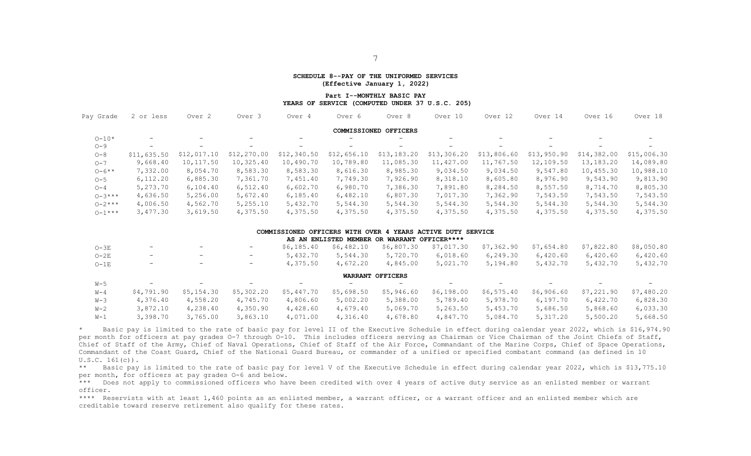#### **SCHEDULE 8--PAY OF THE UNIFORMED SERVICES (Effective January 1, 2022)**

#### **Part I--MONTHLY BASIC PAY YEARS OF SERVICE (COMPUTED UNDER 37 U.S.C. 205)**

| 2 or less   | Over <sub>2</sub>        | Over 3            | Over 4      | Over 6                   | Over 8                   | Over 10                  | Over 12                  | Over 14                                                     | Over 16     | Over 18         |
|-------------|--------------------------|-------------------|-------------|--------------------------|--------------------------|--------------------------|--------------------------|-------------------------------------------------------------|-------------|-----------------|
|             |                          |                   |             |                          |                          |                          |                          |                                                             |             |                 |
| Ξ.          | $\overline{\phantom{0}}$ |                   |             | $\overline{\phantom{0}}$ | $\overline{\phantom{0}}$ | $-$                      |                          | $\overline{\phantom{0}}$                                    |             |                 |
| $-$         | $\overline{\phantom{0}}$ | $\qquad \qquad -$ | $-$         | $-$                      | $\qquad \qquad -$        | $\overline{\phantom{0}}$ | $\overline{\phantom{a}}$ | $\overline{\phantom{0}}$                                    | $-$         | $\qquad \qquad$ |
| \$11,635.50 | \$12,017.10              | \$12,270.00       | \$12,340.50 | \$12,656.10              | \$13,183.20              | \$13,306.20              | \$13,806.60              | \$13,950.90                                                 | \$14,382.00 | \$15,006.30     |
| 9,668.40    | 10,117.50                | 10,325.40         | 10,490.70   | 10,789.80                | 11,085.30                | 11,427.00                | 11,767.50                | 12,109.50                                                   | 13,183.20   | 14,089.80       |
| 7,332.00    | 8,054.70                 | 8,583.30          | 8,583.30    | 8,616.30                 | 8,985.30                 | 9,034.50                 | 9,034.50                 | 9,547.80                                                    | 10,455.30   | 10,988.10       |
| 6, 112.20   | 6,885.30                 | 7,361.70          | 7,451.40    | 7,749.30                 | 7,926.90                 | 8,318.10                 | 8,605.80                 | 8,976.90                                                    | 9,543.90    | 9,813.90        |
| 5,273.70    | 6,104.40                 | 6,512.40          | 6,602.70    | 6,980.70                 | 7,386.30                 | 7,891.80                 | 8,284.50                 | 8,557.50                                                    | 8,714.70    | 8,805.30        |
| 4,636.50    | 5,256.00                 | 5,672.40          | 6, 185.40   | 6,482.10                 | 6,807.30                 | 7,017.30                 | 7,362.90                 | 7,543.50                                                    | 7,543.50    | 7,543.50        |
| 4,006.50    | 4,562.70                 | 5,255.10          | 5,432.70    | 5,544.30                 | 5,544.30                 | 5,544.30                 | 5,544.30                 | 5,544.30                                                    | 5,544.30    | 5,544.30        |
| 3,477.30    | 3,619.50                 | 4,375.50          | 4,375.50    | 4,375.50                 | 4,375.50                 | 4,375.50                 | 4,375.50                 | 4,375.50                                                    | 4,375.50    | 4,375.50        |
|             |                          |                   |             |                          |                          |                          |                          |                                                             |             |                 |
|             |                          |                   |             |                          |                          |                          |                          |                                                             |             |                 |
|             |                          |                   |             |                          |                          | COMMISSIONED OFFICERS    |                          | COMMISSIONED OFFICERS WITH OVER 4 YEARS ACTIVE DUTY SERVICE |             |                 |

| AS AN ENLISTED MEMBER OR WARRANT OFFICER**** |                          |            |                          |            |            |                          |            |            |                          |                   |            |  |  |  |
|----------------------------------------------|--------------------------|------------|--------------------------|------------|------------|--------------------------|------------|------------|--------------------------|-------------------|------------|--|--|--|
| $O-3E$                                       | $\overline{\phantom{m}}$ |            | $\qquad \qquad -$        | \$6,185.40 | \$6,482.10 | \$6,807.30               | \$7,017.30 | \$7,362.90 | \$7,654.80               | \$7,822.80        | \$8,050.80 |  |  |  |
| $O-2E$                                       | $\overline{\phantom{m}}$ | -          | $-$                      | 5,432.70   | 5,544.30   | 5,720.70                 | 6,018.60   | 6,249.30   | 6,420.60                 | 6,420.60          | 6,420.60   |  |  |  |
| $O-1E$                                       | $\overline{\phantom{m}}$ |            | $\overline{\phantom{m}}$ | 4,375.50   | 4,672.20   | 4,845.00                 | 5,021.70   | 5,194.80   | 5,432.70                 | 5,432.70          | 5,432.70   |  |  |  |
|                                              | WARRANT OFFICERS         |            |                          |            |            |                          |            |            |                          |                   |            |  |  |  |
| W-5                                          | $\overline{\phantom{m}}$ | -          | $\overline{\phantom{0}}$ |            | $-$        | $\overline{\phantom{0}}$ | $-$        |            | $\overline{\phantom{0}}$ | $\qquad \qquad -$ | -          |  |  |  |
| $W-4$                                        | \$4,791.90               | \$5,154.30 | \$5,302.20               | \$5,447.70 | \$5,698.50 | \$5,946.60               | \$6,198.00 | \$6,575.40 | \$6,906.60               | \$7,221.90        | \$7,480.20 |  |  |  |
| W-3                                          | 4,376.40                 | 4,558.20   | 4,745.70                 | 4,806.60   | 5,002.20   | 5,388.00                 | 5,789.40   | 5,978.70   | 6,197.70                 | 6,422.70          | 6,828.30   |  |  |  |
| $W-2$                                        | 3,872.10                 | 4,238.40   | 4,350.90                 | 4,428.60   | 4,679.40   | 5,069.70                 | 5,263.50   | 5,453.70   | 5,686.50                 | 5,868.60          | 6,033.30   |  |  |  |
| $W-1$                                        | 3,398.70                 | 3,765.00   | 3,863.10                 | 4,071.00   | 4,316.40   | 4,678.80                 | 4,847.70   | 5,084.70   | 5,317.20                 | 5,500.20          | 5,668.50   |  |  |  |

Basic pay is limited to the rate of basic pay for level II of the Executive Schedule in effect during calendar year 2022, which is \$16,974.90 per month for officers at pay grades 0-7 through 0-10. This includes officers serving as Chairman or Vice Chairman of the Joint Chiefs of Staff, Chief of Staff of the Army, Chief of Naval Operations, Chief of Staff of the Air Force, Commandant of the Marine Corps, Chief of Space Operations, Commandant of the Coast Guard, Chief of the National Guard Bureau, or commander of a unified or specified combatant command (as defined in 10 U.S.C. 161(c)).

\*\* Basic pay is limited to the rate of basic pay for level V of the Executive Schedule in effect during calendar year 2022, which is \$13,775.10 per month, for officers at pay grades O-6 and below.

\*\*\* Does not apply to commissioned officers who have been credited with over 4 years of active duty service as an enlisted member or warrant officer.

\*\*\*\* Reservists with at least 1,460 points as an enlisted member, a warrant officer, or a warrant officer and an enlisted member which are creditable toward reserve retirement also qualify for these rates.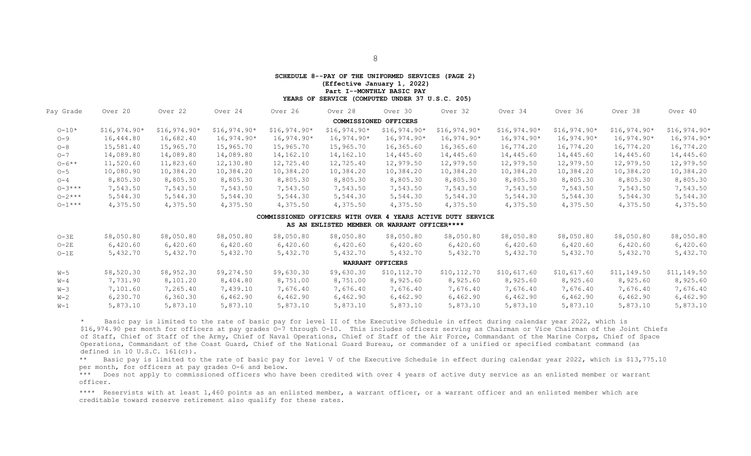#### **SCHEDULE 8--PAY OF THE UNIFORMED SERVICES (PAGE 2) (Effective January 1, 2022)**

**Part I--MONTHLY BASIC PAY** 

 **YEARS OF SERVICE (COMPUTED UNDER 37 U.S.C. 205)**

<span id="page-12-0"></span>

| Pay Grade   | Over 20       | Over 22       | Over 24       | Over 26       | Over 28       | Over 30               | Over 32       | Over 34       | Over 36       | Over 38       | Over 40       |
|-------------|---------------|---------------|---------------|---------------|---------------|-----------------------|---------------|---------------|---------------|---------------|---------------|
|             |               |               |               |               |               | COMMISSIONED OFFICERS |               |               |               |               |               |
| $0 - 10*$   | $$16,974.90*$ | $$16,974.90*$ | $$16,974.90*$ | $$16,974.90*$ | $$16,974.90*$ | $$16,974.90*$         | $$16,974.90*$ | $$16,974.90*$ | $$16,974.90*$ | $$16,974.90*$ | $$16,974.90*$ |
| $O - 9$     | 16,444.80     | 16,682.40     | $16,974.90*$  | $16,974.90*$  | $16,974.90*$  | $16,974.90*$          | $16,974.90*$  | $16,974.90*$  | $16,974.90*$  | $16,974.90*$  | $16,974.90*$  |
| $O - 8$     | 15,581.40     | 15,965.70     | 15,965.70     | 15,965.70     | 15,965.70     | 16,365.60             | 16,365.60     | 16,774.20     | 16,774.20     | 16,774.20     | 16,774.20     |
| $O - 7$     | 14,089.80     | 14,089.80     | 14,089.80     | 14,162.10     | 14,162.10     | 14,445.60             | 14,445.60     | 14,445.60     | 14,445.60     | 14,445.60     | 14,445.60     |
| $0 - 6**$   | 11,520.60     | 11,823.60     | 12,130.80     | 12,725.40     | 12,725.40     | 12,979.50             | 12,979.50     | 12,979.50     | 12,979.50     | 12,979.50     | 12,979.50     |
| $O - 5$     | 10,080.90     | 10,384.20     | 10,384.20     | 10,384.20     | 10,384.20     | 10,384.20             | 10,384.20     | 10,384.20     | 10,384.20     | 10,384.20     | 10,384.20     |
| $O - 4$     | 8,805.30      | 8,805.30      | 8,805.30      | 8,805.30      | 8,805.30      | 8,805.30              | 8,805.30      | 8,805.30      | 8,805.30      | 8,805.30      | 8,805.30      |
| $0 - 3***$  | 7,543.50      | 7,543.50      | 7,543.50      | 7,543.50      | 7,543.50      | 7,543.50              | 7,543.50      | 7,543.50      | 7,543.50      | 7,543.50      | 7,543.50      |
| $0 - 2$ *** | 5,544.30      | 5,544.30      | 5,544.30      | 5,544.30      | 5,544.30      | 5,544.30              | 5,544.30      | 5,544.30      | 5,544.30      | 5,544.30      | 5,544.30      |
| $0 - 1***$  | 4,375.50      | 4,375.50      | 4,375.50      | 4,375.50      | 4,375.50      | 4,375.50              | 4,375.50      | 4,375.50      | 4,375.50      | 4,375.50      | 4,375.50      |

#### **COMMISSIONED OFFICERS WITH OVER 4 YEARS ACTIVE DUTY SERVICE**

#### **AS AN ENLISTED MEMBER OR WARRANT OFFICER[\\*\\*\\*\\*](#page-13-0)**

| $O-3E$  | \$8,050.80 | \$8,050.80 | \$8,050.80 | \$8,050.80 | \$8,050.80 | \$8,050.80       | \$8,050.80  | \$8,050.80  | \$8,050.80  | \$8,050.80  | \$8,050.80  |
|---------|------------|------------|------------|------------|------------|------------------|-------------|-------------|-------------|-------------|-------------|
| $O-2E$  | 6,420.60   | 6,420.60   | 6,420.60   | 6,420.60   | 6,420.60   | 6,420.60         | 6,420.60    | 6,420.60    | 6,420.60    | 6,420.60    | 6,420.60    |
| $O-1E$  | 5,432.70   | 5,432.70   | 5,432.70   | 5,432.70   | 5,432.70   | 5,432.70         | 5,432.70    | 5,432.70    | 5,432.70    | 5,432.70    | 5,432.70    |
|         |            |            |            |            |            | WARRANT OFFICERS |             |             |             |             |             |
| $W-5$   | \$8,520.30 | \$8,952.30 | \$9,274.50 | \$9,630.30 | \$9,630.30 | \$10,112.70      | \$10,112.70 | \$10,617.60 | \$10,617.60 | \$11,149.50 | \$11,149.50 |
| $W - 4$ | 7,731.90   | 8,101.20   | 8,404.80   | 8,751.00   | 8,751.00   | 8,925.60         | 8,925.60    | 8,925.60    | 8,925.60    | 8,925.60    | 8,925.60    |
| W-3     | 7,101.60   | 7,265.40   | 7,439.10   | 7,676.40   | 7,676.40   | 7,676.40         | 7,676.40    | 7,676.40    | 7,676.40    | 7,676.40    | 7,676.40    |
| $W-2$   | 6,230.70   | 6,360.30   | 6,462.90   | 6,462.90   | 6,462.90   | 6,462.90         | 6,462.90    | 6,462.90    | 6,462.90    | 6,462.90    | 6,462.90    |
| $W-1$   | 5,873.10   | 5,873.10   | 5,873.10   | 5,873.10   | 5,873.10   | 5,873.10         | 5,873.10    | 5,873.10    | 5,873.10    | 5,873.10    | 5,873.10    |

\* Basic pay is limited to the rate of basic pay for level II of the Executive Schedule in effect during calendar year 2022, which is \$16,974.90 per month for officers at pay grades O-7 through O-10. This includes officers serving as Chairman or Vice Chairman of the Joint Chiefs of Staff, Chief of Staff of the Army, Chief of Naval Operations, Chief of Staff of the Air Force, Commandant of the Marine Corps, Chief of Space Operations, Commandant of the Coast Guard, Chief of the National Guard Bureau, or commander of a unified or specified combatant command (as defined in 10 U.S.C. 161(c)).

\*\* Basic pay is limited to the rate of basic pay for level V of the Executive Schedule in effect during calendar year 2022, which is \$13,775.10 per month, for officers at pay grades O-6 and below.

\*\*\* Does not apply to commissioned officers who have been credited with over 4 years of active duty service as an enlisted member or warrant officer.

\*\*\*\* Reservists with at least 1,460 points as an enlisted member, a warrant officer, or a warrant officer and an enlisted member which are creditable toward reserve retirement also qualify for these rates.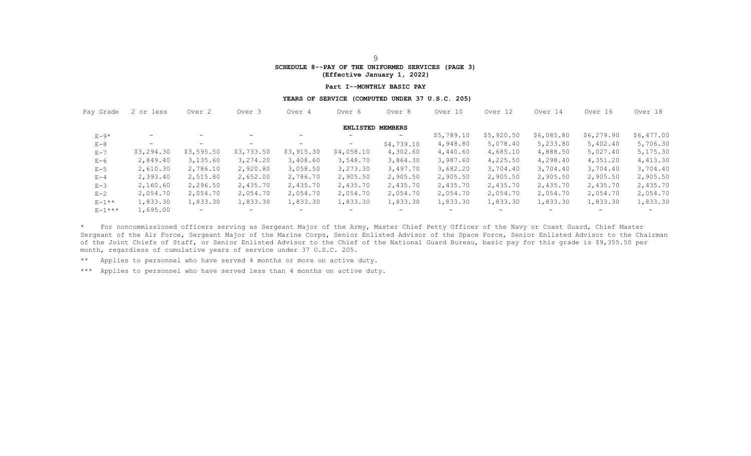# **SCHEDULE 8--PAY OF THE UNIFORMED SERVICES (PAGE 3)**

**(Effective January 1, 2022)** 

#### **Part I--MONTHLY BASIC PAY**

#### **YEARS OF SERVICE (COMPUTED UNDER 37 U.S.C. 205)**

<span id="page-13-0"></span>

| Pay Grade     | 2 or less         | Over <sub>2</sub> | Over 3                   | Over 4            | Over 6                  | Over 8                   |                          | Over 12    | Over 14                  | Over 16                  | Over 18    |  |
|---------------|-------------------|-------------------|--------------------------|-------------------|-------------------------|--------------------------|--------------------------|------------|--------------------------|--------------------------|------------|--|
|               |                   |                   |                          |                   | <b>ENLISTED MEMBERS</b> |                          |                          |            |                          |                          |            |  |
| $E-9*$        | $\qquad \qquad -$ |                   | $\overline{\phantom{0}}$ | $\qquad \qquad$   |                         | $-$                      | \$5,789.10               | \$5,920.50 | \$6,085.80               | \$6,279.90               | \$6,477.00 |  |
| $E-8$         | -                 | $-$               | $\overline{\phantom{0}}$ | $\qquad \qquad -$ | $-$                     | \$4,739.10               | 4,948.80                 | 5,078.40   | 5,233.80                 | 5,402.40                 | 5,706.30   |  |
| $E - 7$       | \$3,294.30        | \$3,595.50        | \$3,733.50               | \$3,915.30        | \$4,058.10              | 4,302.60                 | 4,440.60                 | 4,685.10   | 4,888.50                 | 5,027.40                 | 5,175.30   |  |
| $E-6$         | 2,849.40          | 3,135.60          | 3,274.20                 | 3,408.60          | 3,548.70                | 3,864.30                 | 3,987.60                 | 4,225.50   | 4,298.40                 | 4,351.20                 | 4,413.30   |  |
| $E-5$         | 2,610.30          | 2,786.10          | 2,920.80                 | 3,058.50          | 3,273.30                | 3,497.70                 | 3,682.20                 | 3,704.40   | 3,704.40                 | 3,704.40                 | 3,704.40   |  |
| $E - 4$       | 2,393.40          | 2,515.80          | 2,652.00                 | 2,786.70          | 2,905.50                | 2,905.50                 | 2,905.50                 | 2,905.50   | 2,905.50                 | 2,905.50                 | 2,905.50   |  |
| $E-3$         | 2,160.60          | 2,296.50          | 2,435.70                 | 2,435.70          | 2,435.70                | 2,435.70                 | 2,435.70                 | 2,435.70   | 2,435.70                 | 2,435.70                 | 2,435.70   |  |
| $E-2$         | 2,054.70          | 2,054.70          | 2,054.70                 | 2,054.70          | 2,054.70                | 2,054.70                 | 2,054.70                 | 2,054.70   | 2,054.70                 | 2,054.70                 | 2,054.70   |  |
| $E-1**$       | 1,833.30          | 1,833.30          | 1,833.30                 | 1,833.30          | 1,833.30                | 1,833.30                 | 1,833.30                 | 1,833.30   | 1,833.30                 | 1,833.30                 | 1,833.30   |  |
| $E - 1$ * * * | 1,695.00          | $-$               | $\overline{\phantom{0}}$ | $\qquad \qquad$   |                         | $\overline{\phantom{0}}$ | $\overline{\phantom{m}}$ |            | $\overline{\phantom{0}}$ | $\overline{\phantom{0}}$ |            |  |

\* For noncommissioned officers serving as Sergeant Major of the Army, Master Chief Petty Officer of the Navy or Coast Guard, Chief Master Sergeant of the Air Force, Sergeant Major of the Marine Corps, Senior Enlisted Advisor of the Space Force, Senior Enlisted Advisor to the Chairman of the Joint Chiefs of Staff, or Senior Enlisted Advisor to the Chief of the National Guard Bureau, basic pay for this grade is \$9,355.50 per month, regardless of cumulative years of service under 37 U.S.C. 205.

\*\* Applies to personnel who have served 4 months or more on active duty.

\*\*\* Applies to personnel who have served less than 4 months on active duty.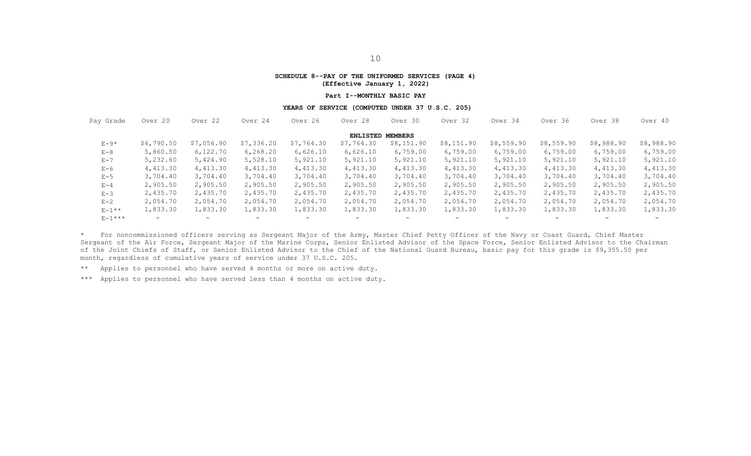#### **SCHEDULE 8--PAY OF THE UNIFORMED SERVICES (PAGE 4) (Effective January 1, 2022)**

#### **Part I--MONTHLY BASIC PAY**

#### **YEARS OF SERVICE (COMPUTED UNDER 37 U.S.C. 205)**

| Pay Grade               | Over 20    | Over 22    | Over 24                  | Over 26    | Over 28    | Over 30           | Over 32                  | Over 34    | Over 36    | Over 38                  | Over 40    |  |  |  |
|-------------------------|------------|------------|--------------------------|------------|------------|-------------------|--------------------------|------------|------------|--------------------------|------------|--|--|--|
| <b>ENLISTED MEMBERS</b> |            |            |                          |            |            |                   |                          |            |            |                          |            |  |  |  |
| $E-9*$                  | \$6,790.50 | \$7,056.90 | \$7,336.20               | \$7,764.30 | \$7,764.30 | \$8,151.90        | \$8,151.90               | \$8,559.90 | \$8,559.90 | \$8,988.90               | \$8,988.90 |  |  |  |
| $E - 8$                 | 5,860.50   | 6,122.70   | 6,268.20                 | 6,626.10   | 6,626.10   | 6,759.00          | 6,759.00                 | 6,759.00   | 6,759.00   | 6,759.00                 | 6,759.00   |  |  |  |
| $E - 7$                 | 5,232.60   | 5,424.90   | 5,528.10                 | 5,921.10   | 5,921.10   | 5,921.10          | 5,921.10                 | 5,921.10   | 5,921.10   | 5,921.10                 | 5,921.10   |  |  |  |
| $E-6$                   | 4,413.30   | 4,413.30   | 4,413.30                 | 4,413.30   | 4,413.30   | 4,413.30          | 4,413.30                 | 4,413.30   | 4,413.30   | 4,413.30                 | 4,413.30   |  |  |  |
| $E-5$                   | 3,704.40   | 3,704.40   | 3,704.40                 | 3,704.40   | 3,704.40   | 3,704.40          | 3,704.40                 | 3,704.40   | 3,704.40   | 3,704.40                 | 3,704.40   |  |  |  |
| $E - 4$                 | 2,905.50   | 2,905.50   | 2,905.50                 | 2,905.50   | 2,905.50   | 2,905.50          | 2,905.50                 | 2,905.50   | 2,905.50   | 2,905.50                 | 2,905.50   |  |  |  |
| $E-3$                   | 2,435.70   | 2,435.70   | 2,435.70                 | 2,435.70   | 2,435.70   | 2,435.70          | 2,435.70                 | 2,435.70   | 2,435.70   | 2,435.70                 | 2,435.70   |  |  |  |
| $E - 2$                 | 2,054.70   | 2,054.70   | 2,054.70                 | 2,054.70   | 2,054.70   | 2,054.70          | 2,054.70                 | 2,054.70   | 2,054.70   | 2,054.70                 | 2,054.70   |  |  |  |
| $E-1$ **                | 1,833.30   | 1,833.30   | 1,833.30                 | 1,833.30   | 1,833.30   | 1,833.30          | 1,833.30                 | 1,833.30   | 1,833.30   | 1,833.30                 | 1,833.30   |  |  |  |
| $E - 1$ * * *           | $-$        | $-$        | $\overline{\phantom{0}}$ | $-$        | $-$        | $\qquad \qquad -$ | $\overline{\phantom{0}}$ | -          | $-$        | $\overline{\phantom{0}}$ |            |  |  |  |

\* For noncommissioned officers serving as Sergeant Major of the Army, Master Chief Petty Officer of the Navy or Coast Guard, Chief Master Sergeant of the Air Force, Sergeant Major of the Marine Corps, Senior Enlisted Advisor of the Space Force, Senior Enlisted Advisor to the Chairman of the Joint Chiefs of Staff, or Senior Enlisted Advisor to the Chief of the National Guard Bureau, basic pay for this grade is \$9,355.50 per month, regardless of cumulative years of service under 37 U.S.C. 205.

\*\* Applies to personnel who have served 4 months or more on active duty.

\*\*\* Applies to personnel who have served less than 4 months on active duty.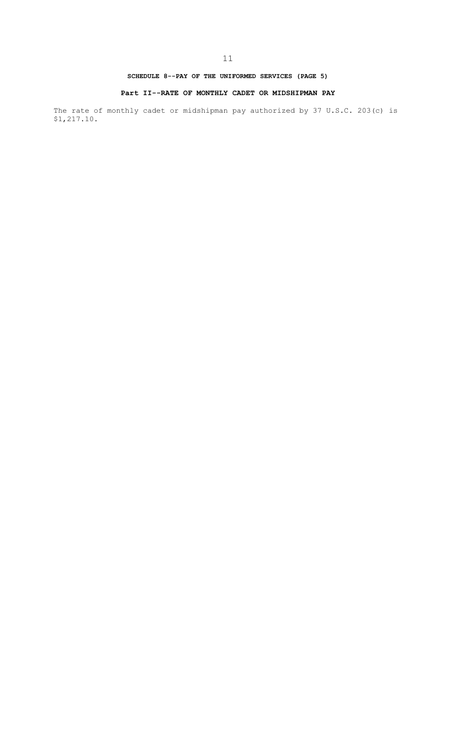## **SCHEDULE 8--PAY OF THE UNIFORMED SERVICES (PAGE 5)**

### **Part II--RATE OF MONTHLY CADET OR MIDSHIPMAN PAY**

The rate of monthly cadet or midshipman pay authorized by 37 U.S.C. 203(c) is \$1,217.10.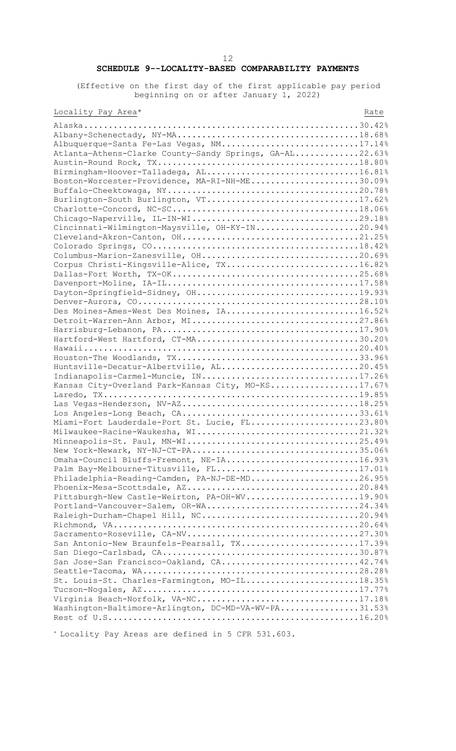# 12 **SCHEDULE 9--LOCALITY-BASED COMPARABILITY PAYMENTS**

(Effective on the first day of the first applicable pay period beginning on or after January 1, 2022)

# Locality Pay Area\* Rate

| Albuquerque-Santa Fe-Las Vegas, NM17.14%                |  |
|---------------------------------------------------------|--|
| Atlanta-Athens-Clarke County-Sandy Springs, GA-AL22.63% |  |
|                                                         |  |
| Birmingham-Hoover-Talladega, AL16.81%                   |  |
| Boston-Worcester-Providence, MA-RI-NH-ME30.09%          |  |
|                                                         |  |
| Burlington-South Burlington, VT17.62%                   |  |
|                                                         |  |
|                                                         |  |
| Cincinnati-Wilmington-Maysville, OH-KY-IN20.94%         |  |
|                                                         |  |
|                                                         |  |
|                                                         |  |
|                                                         |  |
| Corpus Christi-Kingsville-Alice, TX16.82%               |  |
|                                                         |  |
|                                                         |  |
|                                                         |  |
|                                                         |  |
| Des Moines-Ames-West Des Moines, IA16.52%               |  |
|                                                         |  |
|                                                         |  |
| Hartford-West Hartford, CT-MA30.20%                     |  |
|                                                         |  |
|                                                         |  |
| Huntsville-Decatur-Albertville, AL20.45%                |  |
| Indianapolis-Carmel-Muncie, IN17.26%                    |  |
| Kansas City-Overland Park-Kansas City, MO-KS17.67%      |  |
|                                                         |  |
|                                                         |  |
|                                                         |  |
| Miami-Fort Lauderdale-Port St. Lucie, FL23.80%          |  |
|                                                         |  |
| Milwaukee-Racine-Waukesha, WI21.32%                     |  |
|                                                         |  |
| New York-Newark, NY-NJ-CT-PA35.06%                      |  |
| Omaha-Council Bluffs-Fremont, NE-IA16.93%               |  |
| Palm Bay-Melbourne-Titusville, FL17.01%                 |  |
| Philadelphia-Reading-Camden, PA-NJ-DE-MD26.95%          |  |
|                                                         |  |
| Pittsburgh-New Castle-Weirton, PA-OH-WV19.90%           |  |
| Portland-Vancouver-Salem, OR-WA24.34%                   |  |
|                                                         |  |
|                                                         |  |
|                                                         |  |
| San Antonio-New Braunfels-Pearsall, TX17.39%            |  |
|                                                         |  |
| San Jose-San Francisco-Oakland, CA42.74%                |  |
|                                                         |  |
| St. Louis-St. Charles-Farmington, MO-IL18.35%           |  |
|                                                         |  |
| Virginia Beach-Norfolk, VA-NC17.18%                     |  |
| Washington-Baltimore-Arlington, DC-MD-VA-WV-PA31.53%    |  |
|                                                         |  |
|                                                         |  |

\* Locality Pay Areas are defined in 5 CFR 531.603.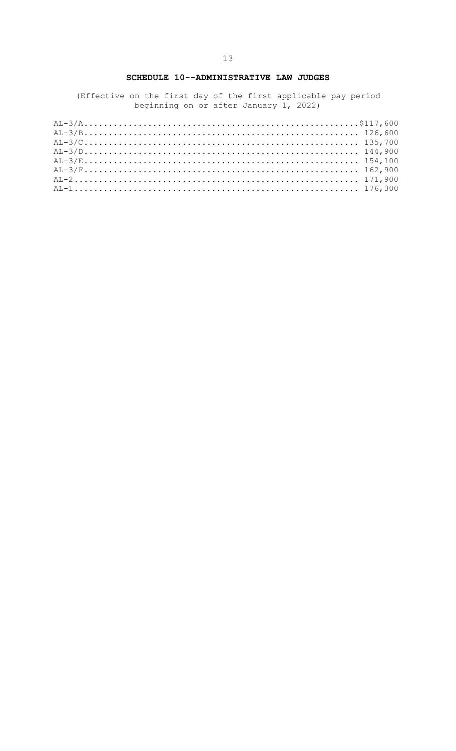# SCHEDULE 10--ADMINISTRATIVE LAW JUDGES

(Effective on the first day of the first applicable pay period<br>beginning on or after January 1, 2022)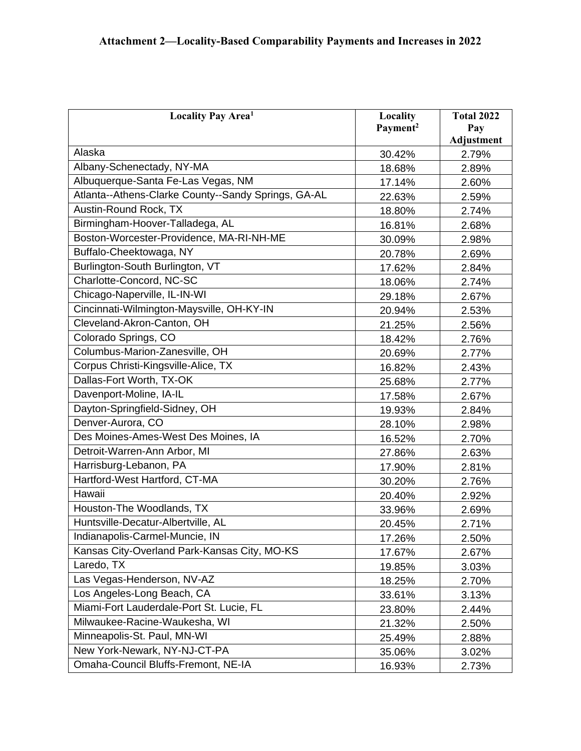| Locality Pay Area <sup>1</sup>                      | Locality             | <b>Total 2022</b> |
|-----------------------------------------------------|----------------------|-------------------|
|                                                     | Payment <sup>2</sup> | Pay               |
|                                                     |                      | <b>Adjustment</b> |
| Alaska                                              | 30.42%               | 2.79%             |
| Albany-Schenectady, NY-MA                           | 18.68%               | 2.89%             |
| Albuquerque-Santa Fe-Las Vegas, NM                  | 17.14%               | 2.60%             |
| Atlanta--Athens-Clarke County--Sandy Springs, GA-AL | 22.63%               | 2.59%             |
| Austin-Round Rock, TX                               | 18.80%               | 2.74%             |
| Birmingham-Hoover-Talladega, AL                     | 16.81%               | 2.68%             |
| Boston-Worcester-Providence, MA-RI-NH-ME            | 30.09%               | 2.98%             |
| Buffalo-Cheektowaga, NY                             | 20.78%               | 2.69%             |
| Burlington-South Burlington, VT                     | 17.62%               | 2.84%             |
| Charlotte-Concord, NC-SC                            | 18.06%               | 2.74%             |
| Chicago-Naperville, IL-IN-WI                        | 29.18%               | 2.67%             |
| Cincinnati-Wilmington-Maysville, OH-KY-IN           | 20.94%               | 2.53%             |
| Cleveland-Akron-Canton, OH                          | 21.25%               | 2.56%             |
| Colorado Springs, CO                                | 18.42%               | 2.76%             |
| Columbus-Marion-Zanesville, OH                      | 20.69%               | 2.77%             |
| Corpus Christi-Kingsville-Alice, TX                 | 16.82%               | 2.43%             |
| Dallas-Fort Worth, TX-OK                            | 25.68%               | 2.77%             |
| Davenport-Moline, IA-IL                             | 17.58%               | 2.67%             |
| Dayton-Springfield-Sidney, OH                       | 19.93%               | 2.84%             |
| Denver-Aurora, CO                                   | 28.10%               | 2.98%             |
| Des Moines-Ames-West Des Moines, IA                 | 16.52%               | 2.70%             |
| Detroit-Warren-Ann Arbor, MI                        | 27.86%               | 2.63%             |
| Harrisburg-Lebanon, PA                              | 17.90%               | 2.81%             |
| Hartford-West Hartford, CT-MA                       | 30.20%               | 2.76%             |
| Hawaii                                              | 20.40%               | 2.92%             |
| Houston-The Woodlands, TX                           | 33.96%               | 2.69%             |
| Huntsville-Decatur-Albertville, AL                  | 20.45%               | 2.71%             |
| Indianapolis-Carmel-Muncie, IN                      | 17.26%               | 2.50%             |
| Kansas City-Overland Park-Kansas City, MO-KS        | 17.67%               | 2.67%             |
| Laredo, TX                                          | 19.85%               | 3.03%             |
| Las Vegas-Henderson, NV-AZ                          | 18.25%               | 2.70%             |
| Los Angeles-Long Beach, CA                          | 33.61%               | 3.13%             |
| Miami-Fort Lauderdale-Port St. Lucie, FL            | 23.80%               | 2.44%             |
| Milwaukee-Racine-Waukesha, WI                       | 21.32%               | 2.50%             |
| Minneapolis-St. Paul, MN-WI                         | 25.49%               | 2.88%             |
| New York-Newark, NY-NJ-CT-PA                        | 35.06%               | 3.02%             |
| Omaha-Council Bluffs-Fremont, NE-IA                 | 16.93%               | 2.73%             |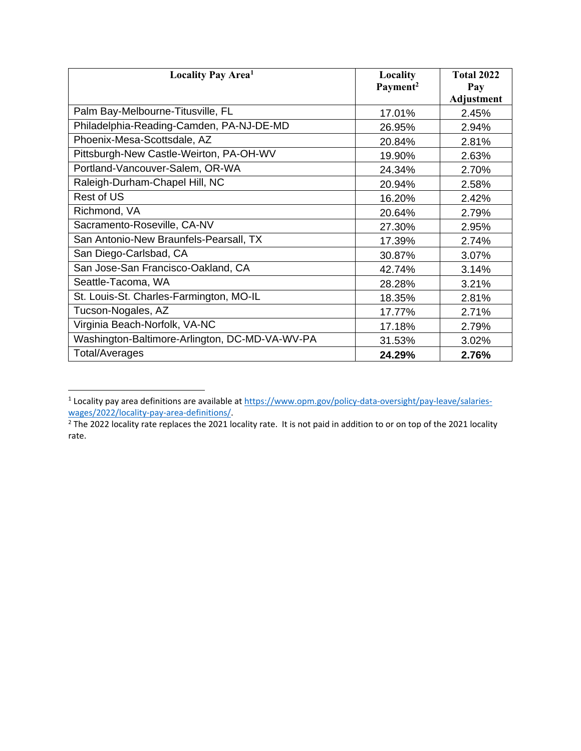<span id="page-19-0"></span>

| <b>Locality Pay Area<sup>1</sup></b>           | Locality<br>Payment <sup>2</sup> | <b>Total 2022</b><br>Pay |
|------------------------------------------------|----------------------------------|--------------------------|
|                                                |                                  | <b>Adjustment</b>        |
| Palm Bay-Melbourne-Titusville, FL              | 17.01%                           | 2.45%                    |
| Philadelphia-Reading-Camden, PA-NJ-DE-MD       | 26.95%                           | 2.94%                    |
| Phoenix-Mesa-Scottsdale, AZ                    | 20.84%                           | 2.81%                    |
| Pittsburgh-New Castle-Weirton, PA-OH-WV        | 19.90%                           | 2.63%                    |
| Portland-Vancouver-Salem, OR-WA                | 24.34%                           | 2.70%                    |
| Raleigh-Durham-Chapel Hill, NC                 | 20.94%                           | 2.58%                    |
| Rest of US                                     | 16.20%                           | 2.42%                    |
| Richmond, VA                                   | 20.64%                           | 2.79%                    |
| Sacramento-Roseville, CA-NV                    | 27.30%                           | 2.95%                    |
| San Antonio-New Braunfels-Pearsall, TX         | 17.39%                           | 2.74%                    |
| San Diego-Carlsbad, CA                         | 30.87%                           | 3.07%                    |
| San Jose-San Francisco-Oakland, CA             | 42.74%                           | 3.14%                    |
| Seattle-Tacoma, WA                             | 28.28%                           | 3.21%                    |
| St. Louis-St. Charles-Farmington, MO-IL        | 18.35%                           | 2.81%                    |
| Tucson-Nogales, AZ                             | 17.77%                           | 2.71%                    |
| Virginia Beach-Norfolk, VA-NC                  | 17.18%                           | 2.79%                    |
| Washington-Baltimore-Arlington, DC-MD-VA-WV-PA | 31.53%                           | 3.02%                    |
| <b>Total/Averages</b>                          | 24.29%                           | 2.76%                    |

<sup>&</sup>lt;sup>1</sup> Locality pay area definitions are available a[t https://www.opm.gov/policy-data-oversight/pay-leave/salaries-](https://www.opm.gov/policy-data-oversight/pay-leave/salaries-wages/2022/locality-pay-area-definitions/)

[wages/2022/locality-pay-area-definitions/.](https://www.opm.gov/policy-data-oversight/pay-leave/salaries-wages/2022/locality-pay-area-definitions/)<br><sup>2</sup> The 2022 locality rate replaces the 2021 locality rate. It is not paid in addition to or on top of the 2021 locality rate.